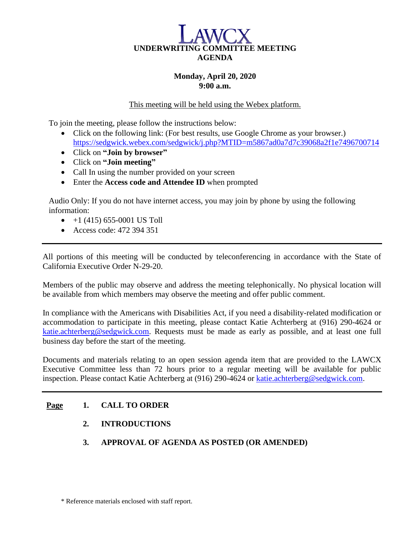

#### **Monday, April 20, 2020 9:00 a.m.**

This meeting will be held using the Webex platform.

To join the meeting, please follow the instructions below:

- Click on the following link: (For best results, use Google Chrome as your browser.) <https://sedgwick.webex.com/sedgwick/j.php?MTID=m5867ad0a7d7c39068a2f1e7496700714>
- Click on **"Join by browser"**
- Click on **"Join meeting"**
- Call In using the number provided on your screen
- Enter the **Access code and Attendee ID** when prompted

Audio Only: If you do not have internet access, you may join by phone by using the following information:

- $\bullet$  +1 (415) 655-0001 US Toll
- Access code: 472 394 351

All portions of this meeting will be conducted by teleconferencing in accordance with the State of California Executive Order N-29-20.

Members of the public may observe and address the meeting telephonically. No physical location will be available from which members may observe the meeting and offer public comment.

In compliance with the Americans with Disabilities Act, if you need a disability-related modification or accommodation to participate in this meeting, please contact Katie Achterberg at (916) 290-4624 or [katie.achterberg@sedgwick.com.](mailto:katie.achterberg@sedgwick.com) Requests must be made as early as possible, and at least one full business day before the start of the meeting.

Documents and materials relating to an open session agenda item that are provided to the LAWCX Executive Committee less than 72 hours prior to a regular meeting will be available for public inspection. Please contact Katie Achterberg at (916) 290-4624 or [katie.achterberg@sedgwick.com.](mailto:katie.achterberg@sedgwick.com)

#### **Page 1. CALL TO ORDER**

- **2. INTRODUCTIONS**
- **3. APPROVAL OF AGENDA AS POSTED (OR AMENDED)**

\* Reference materials enclosed with staff report.